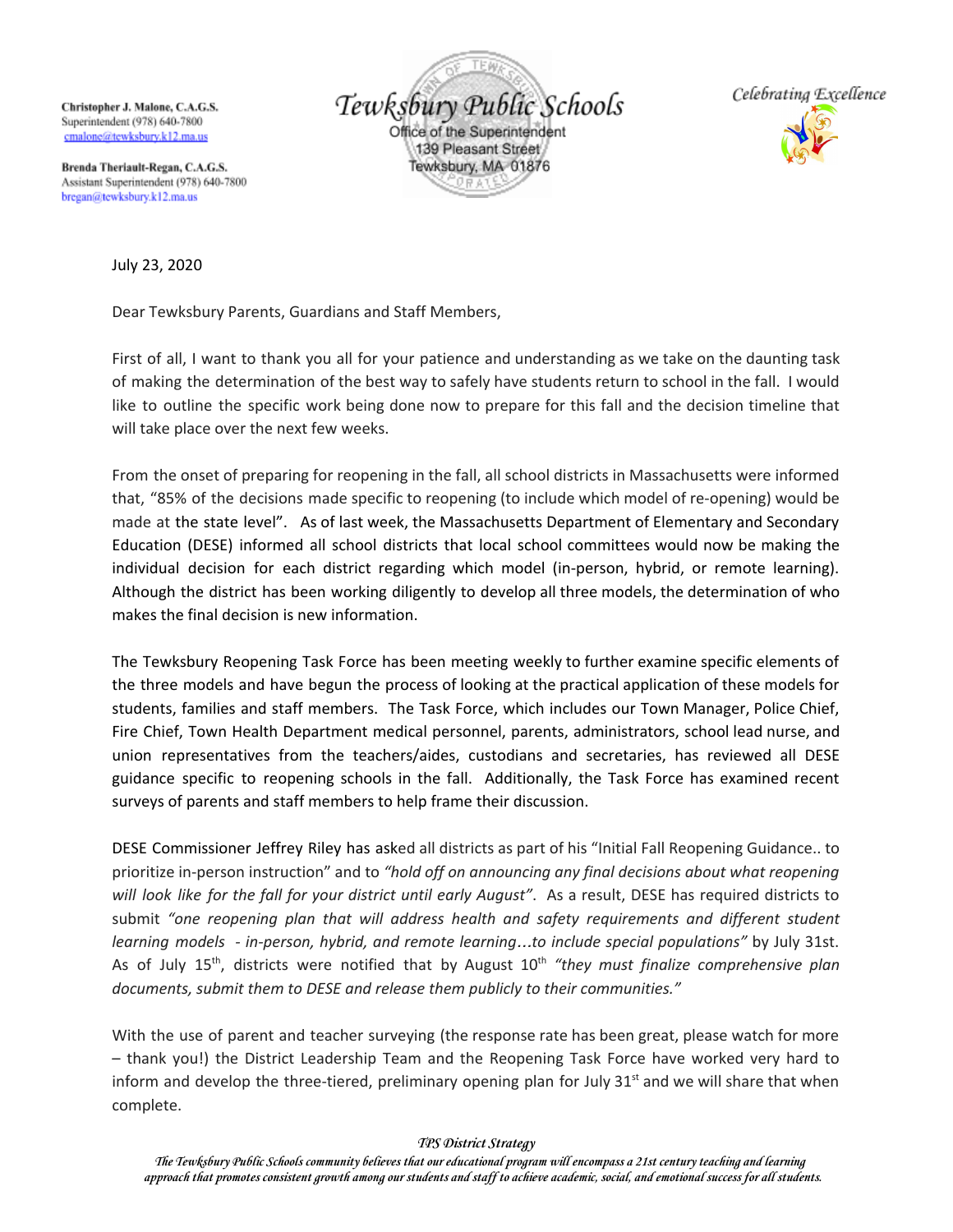Christopher J. Malone, C.A.G.S. Superintendent (978) 640-7800 cmalone@tewksburv.k12.ma.us

Tewksbury Public Schools Office of the Superintendent 139 Pleasant Street Tewksbury, MA 01876



Brenda Theriault-Regan, C.A.G.S. Assistant Superintendent (978) 640-7800 bregan@tewksbury.k12.ma.us

July 23, 2020

Dear Tewksbury Parents, Guardians and Staff Members,

First of all, I want to thank you all for your patience and understanding as we take on the daunting task of making the determination of the best way to safely have students return to school in the fall. I would like to outline the specific work being done now to prepare for this fall and the decision timeline that will take place over the next few weeks.

From the onset of preparing for reopening in the fall, all school districts in Massachusetts were informed that, "85% of the decisions made specific to reopening (to include which model of re-opening) would be made at the state level". As of last week, the Massachusetts Department of Elementary and Secondary Education (DESE) informed all school districts that local school committees would now be making the individual decision for each district regarding which model (in-person, hybrid, or remote learning). Although the district has been working diligently to develop all three models, the determination of who makes the final decision is new information.

The Tewksbury Reopening Task Force has been meeting weekly to further examine specific elements of the three models and have begun the process of looking at the practical application of these models for students, families and staff members. The Task Force, which includes our Town Manager, Police Chief, Fire Chief, Town Health Department medical personnel, parents, administrators, school lead nurse, and union representatives from the teachers/aides, custodians and secretaries, has reviewed all DESE guidance specific to reopening schools in the fall. Additionally, the Task Force has examined recent surveys of parents and staff members to help frame their discussion.

DESE Commissioner Jeffrey Riley has asked all districts as part of his "Initial Fall Reopening Guidance.. to prioritize in-person instruction" and to *"hold off on announcing any final decisions about what reopening will look like for the fall for your district until early August"*. As a result, DESE has required districts to submit *"one reopening plan that will address health and safety requirements and different student learning models - in-person, hybrid, and remote learning*…*to include special populations"* by July 31st. As of July 15<sup>th</sup>, districts were notified that by August 10<sup>th</sup> "they must finalize comprehensive plan *documents, submit them to DESE and release them publicly to their communities."*

With the use of parent and teacher surveying (the response rate has been great, please watch for more – thank you!) the District Leadership Team and the Reopening Task Force have worked very hard to inform and develop the three-tiered, preliminary opening plan for July 31<sup>st</sup> and we will share that when complete.

## *TPS District Strategy*